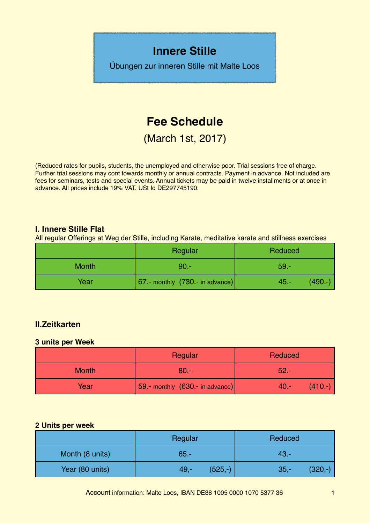# **Innere Stille**

Übungen zur inneren Stille mit Malte Loos

# **Fee Schedule**

(March 1st, 2017)

(Reduced rates for pupils, students, the unemployed and otherwise poor. Trial sessions free of charge. Further trial sessions may cont towards monthly or annual contracts. Payment in advance. Not included are fees for seminars, tests and special events. Annual tickets may be paid in twelve installments or at once in advance. All prices include 19% VAT. USt Id DE297745190.

#### **I. Innere Stille Flat**

All regular Offerings at Weg der Stille, including Karate, meditative karate and stillness exercises

|              | Regular                           | Reduced               |
|--------------|-----------------------------------|-----------------------|
| <b>Month</b> | $90 -$                            | $59 -$                |
| Year         | 67.- monthly $(730 - in advance)$ | $(490. -)$<br>$45. -$ |

## **II.Zeitkarten**

#### **3 units per Week**

|              | Regular                         | Reduced              |
|--------------|---------------------------------|----------------------|
| <b>Month</b> | $80 -$                          | $52 -$               |
| Year         | 59.- monthly (630.- in advance) | $(410. -)$<br>$40 -$ |

#### **2 Units per week**

|                 | Regular             | Reduced             |
|-----------------|---------------------|---------------------|
| Month (8 units) | $65 -$              | $43 -$              |
| Year (80 units) | $(525,-)$<br>$49 -$ | $(320,-)$<br>$35 -$ |